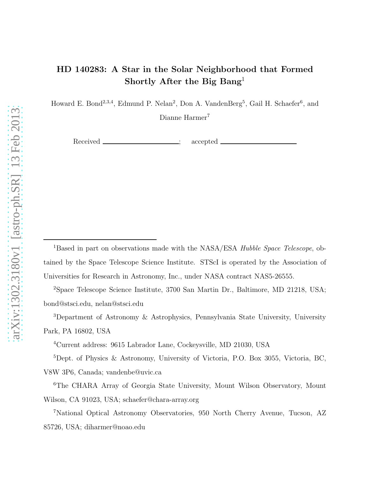# HD 140283: A Star in the Solar Neighborhood that Formed Shortly After the Big Bang<sup>1</sup>

Howard E. Bond<sup>2,3,4</sup>, Edmund P. Nelan<sup>2</sup>, Don A. VandenBerg<sup>5</sup>, Gail H. Schaefer<sup>6</sup>, and

Dianne Harmer<sup>7</sup>

Received <u>example accepted</u> accepted and a second accepted a second accepted and a second and a second second second second second second second second second second second second second second second second second second

<sup>1</sup>Based in part on observations made with the NASA/ESA *Hubble Space Telescope*, obtained by the Space Telescope Science Institute. STScI is operated by the Association of Universities for Research in Astronomy, Inc., under NASA contract NAS5-26555.

<sup>2</sup>Space Telescope Science Institute, 3700 San Martin Dr., Baltimore, MD 21218, USA; bond@stsci.edu, nelan@stsci.edu

<sup>3</sup>Department of Astronomy & Astrophysics, Pennsylvania State University, University Park, PA 16802, USA

<sup>4</sup>Current address: 9615 Labrador Lane, Cockeysville, MD 21030, USA

<sup>5</sup>Dept. of Physics & Astronomy, University of Victoria, P.O. Box 3055, Victoria, BC, V8W 3P6, Canada; vandenbe@uvic.ca

<sup>6</sup>The CHARA Array of Georgia State University, Mount Wilson Observatory, Mount Wilson, CA 91023, USA; schaefer@chara-array.org

<sup>7</sup>National Optical Astronomy Observatories, 950 North Cherry Avenue, Tucson, AZ 85726, USA; diharmer@noao.edu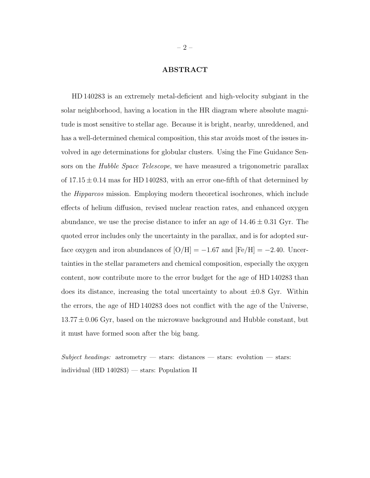## ABSTRACT

HD 140283 is an extremely metal-deficient and high-velocity subgiant in the solar neighborhood, having a location in the HR diagram where absolute magnitude is most sensitive to stellar age. Because it is bright, nearby, unreddened, and has a well-determined chemical composition, this star avoids most of the issues involved in age determinations for globular clusters. Using the Fine Guidance Sensors on the *Hubble Space Telescope*, we have measured a trigonometric parallax of  $17.15 \pm 0.14$  mas for HD 140283, with an error one-fifth of that determined by the Hipparcos mission. Employing modern theoretical isochrones, which include effects of helium diffusion, revised nuclear reaction rates, and enhanced oxygen abundance, we use the precise distance to infer an age of  $14.46 \pm 0.31$  Gyr. The quoted error includes only the uncertainty in the parallax, and is for adopted surface oxygen and iron abundances of  $[O/H] = -1.67$  and  $[Fe/H] = -2.40$ . Uncertainties in the stellar parameters and chemical composition, especially the oxygen content, now contribute more to the error budget for the age of HD 140283 than does its distance, increasing the total uncertainty to about  $\pm 0.8$  Gyr. Within the errors, the age of HD 140283 does not conflict with the age of the Universe,  $13.77 \pm 0.06$  Gyr, based on the microwave background and Hubble constant, but it must have formed soon after the big bang.

Subject headings: astrometry — stars: distances — stars: evolution — stars: individual (HD 140283) — stars: Population II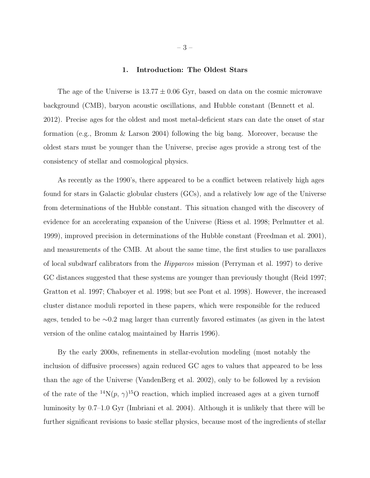#### 1. Introduction: The Oldest Stars

The age of the Universe is  $13.77 \pm 0.06$  Gyr, based on data on the cosmic microwave background (CMB), baryon acoustic oscillations, and Hubble constant (Bennett et al. 2012). Precise ages for the oldest and most metal-deficient stars can date the onset of star formation (e.g., Bromm & Larson 2004) following the big bang. Moreover, because the oldest stars must be younger than the Universe, precise ages provide a strong test of the consistency of stellar and cosmological physics.

As recently as the 1990's, there appeared to be a conflict between relatively high ages found for stars in Galactic globular clusters (GCs), and a relatively low age of the Universe from determinations of the Hubble constant. This situation changed with the discovery of evidence for an accelerating expansion of the Universe (Riess et al. 1998; Perlmutter et al. 1999), improved precision in determinations of the Hubble constant (Freedman et al. 2001), and measurements of the CMB. At about the same time, the first studies to use parallaxes of local subdwarf calibrators from the Hipparcos mission (Perryman et al. 1997) to derive GC distances suggested that these systems are younger than previously thought (Reid 1997; Gratton et al. 1997; Chaboyer et al. 1998; but see Pont et al. 1998). However, the increased cluster distance moduli reported in these papers, which were responsible for the reduced ages, tended to be ∼0.2 mag larger than currently favored estimates (as given in the latest version of the online catalog maintained by Harris 1996).

By the early 2000s, refinements in stellar-evolution modeling (most notably the inclusion of diffusive processes) again reduced GC ages to values that appeared to be less than the age of the Universe (VandenBerg et al. 2002), only to be followed by a revision of the rate of the <sup>14</sup>N(p,  $\gamma$ )<sup>15</sup>O reaction, which implied increased ages at a given turnoff luminosity by 0.7–1.0 Gyr (Imbriani et al. 2004). Although it is unlikely that there will be further significant revisions to basic stellar physics, because most of the ingredients of stellar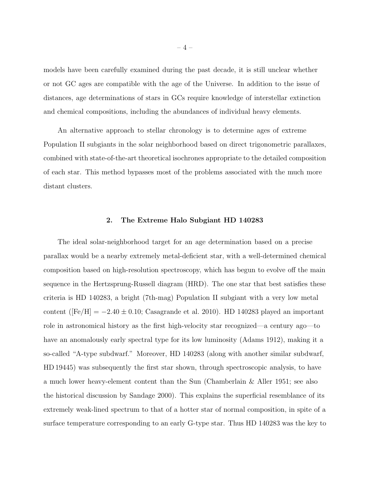models have been carefully examined during the past decade, it is still unclear whether or not GC ages are compatible with the age of the Universe. In addition to the issue of distances, age determinations of stars in GCs require knowledge of interstellar extinction and chemical compositions, including the abundances of individual heavy elements.

An alternative approach to stellar chronology is to determine ages of extreme Population II subgiants in the solar neighborhood based on direct trigonometric parallaxes, combined with state-of-the-art theoretical isochrones appropriate to the detailed composition of each star. This method bypasses most of the problems associated with the much more distant clusters.

## 2. The Extreme Halo Subgiant HD 140283

The ideal solar-neighborhood target for an age determination based on a precise parallax would be a nearby extremely metal-deficient star, with a well-determined chemical composition based on high-resolution spectroscopy, which has begun to evolve off the main sequence in the Hertzsprung-Russell diagram (HRD). The one star that best satisfies these criteria is HD 140283, a bright (7th-mag) Population II subgiant with a very low metal content ( $[Fe/H] = -2.40 \pm 0.10$ ; Casagrande et al. 2010). HD 140283 played an important role in astronomical history as the first high-velocity star recognized—a century ago—to have an anomalously early spectral type for its low luminosity (Adams 1912), making it a so-called "A-type subdwarf." Moreover, HD 140283 (along with another similar subdwarf, HD 19445) was subsequently the first star shown, through spectroscopic analysis, to have a much lower heavy-element content than the Sun (Chamberlain & Aller 1951; see also the historical discussion by Sandage 2000). This explains the superficial resemblance of its extremely weak-lined spectrum to that of a hotter star of normal composition, in spite of a surface temperature corresponding to an early G-type star. Thus HD 140283 was the key to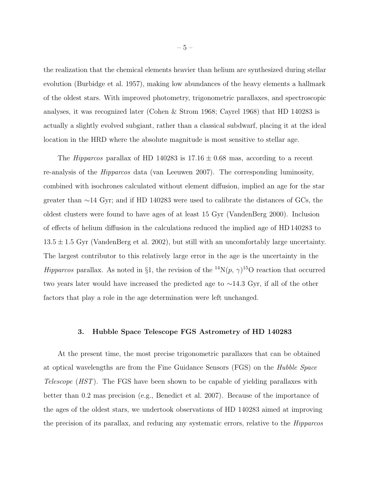the realization that the chemical elements heavier than helium are synthesized during stellar evolution (Burbidge et al. 1957), making low abundances of the heavy elements a hallmark of the oldest stars. With improved photometry, trigonometric parallaxes, and spectroscopic analyses, it was recognized later (Cohen & Strom 1968; Cayrel 1968) that HD 140283 is actually a slightly evolved subgiant, rather than a classical subdwarf, placing it at the ideal location in the HRD where the absolute magnitude is most sensitive to stellar age.

The *Hipparcos* parallax of HD 140283 is  $17.16 \pm 0.68$  mas, according to a recent re-analysis of the Hipparcos data (van Leeuwen 2007). The corresponding luminosity, combined with isochrones calculated without element diffusion, implied an age for the star greater than ∼14 Gyr; and if HD 140283 were used to calibrate the distances of GCs, the oldest clusters were found to have ages of at least 15 Gyr (VandenBerg 2000). Inclusion of effects of helium diffusion in the calculations reduced the implied age of HD 140283 to  $13.5 \pm 1.5$  Gyr (VandenBerg et al. 2002), but still with an uncomfortably large uncertainty. The largest contributor to this relatively large error in the age is the uncertainty in the Hipparcos parallax. As noted in §1, the revision of the <sup>14</sup>N(p,  $\gamma$ )<sup>15</sup>O reaction that occurred two years later would have increased the predicted age to ∼14.3 Gyr, if all of the other factors that play a role in the age determination were left unchanged.

## 3. Hubble Space Telescope FGS Astrometry of HD 140283

At the present time, the most precise trigonometric parallaxes that can be obtained at optical wavelengths are from the Fine Guidance Sensors (FGS) on the Hubble Space Telescope (HST). The FGS have been shown to be capable of yielding parallaxes with better than 0.2 mas precision (e.g., Benedict et al. 2007). Because of the importance of the ages of the oldest stars, we undertook observations of HD 140283 aimed at improving the precision of its parallax, and reducing any systematic errors, relative to the Hipparcos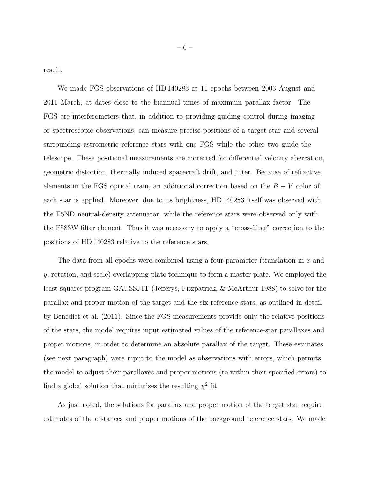result.

We made FGS observations of HD 140283 at 11 epochs between 2003 August and 2011 March, at dates close to the biannual times of maximum parallax factor. The FGS are interferometers that, in addition to providing guiding control during imaging or spectroscopic observations, can measure precise positions of a target star and several surrounding astrometric reference stars with one FGS while the other two guide the telescope. These positional measurements are corrected for differential velocity aberration, geometric distortion, thermally induced spacecraft drift, and jitter. Because of refractive elements in the FGS optical train, an additional correction based on the  $B - V$  color of each star is applied. Moreover, due to its brightness, HD 140283 itself was observed with the F5ND neutral-density attenuator, while the reference stars were observed only with the F583W filter element. Thus it was necessary to apply a "cross-filter" correction to the positions of HD 140283 relative to the reference stars.

The data from all epochs were combined using a four-parameter (translation in  $x$  and y, rotation, and scale) overlapping-plate technique to form a master plate. We employed the least-squares program GAUSSFIT (Jefferys, Fitzpatrick, & McArthur 1988) to solve for the parallax and proper motion of the target and the six reference stars, as outlined in detail by Benedict et al. (2011). Since the FGS measurements provide only the relative positions of the stars, the model requires input estimated values of the reference-star parallaxes and proper motions, in order to determine an absolute parallax of the target. These estimates (see next paragraph) were input to the model as observations with errors, which permits the model to adjust their parallaxes and proper motions (to within their specified errors) to find a global solution that minimizes the resulting  $\chi^2$  fit.

As just noted, the solutions for parallax and proper motion of the target star require estimates of the distances and proper motions of the background reference stars. We made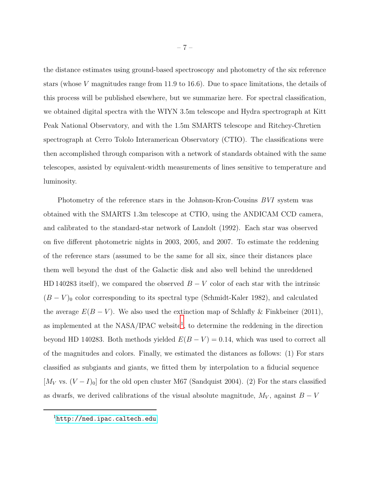the distance estimates using ground-based spectroscopy and photometry of the six reference stars (whose V magnitudes range from 11.9 to 16.6). Due to space limitations, the details of this process will be published elsewhere, but we summarize here. For spectral classification, we obtained digital spectra with the WIYN 3.5m telescope and Hydra spectrograph at Kitt Peak National Observatory, and with the 1.5m SMARTS telescope and Ritchey-Chretien spectrograph at Cerro Tololo Interamerican Observatory (CTIO). The classifications were then accomplished through comparison with a network of standards obtained with the same telescopes, assisted by equivalent-width measurements of lines sensitive to temperature and luminosity.

Photometry of the reference stars in the Johnson-Kron-Cousins BVI system was obtained with the SMARTS 1.3m telescope at CTIO, using the ANDICAM CCD camera, and calibrated to the standard-star network of Landolt (1992). Each star was observed on five different photometric nights in 2003, 2005, and 2007. To estimate the reddening of the reference stars (assumed to be the same for all six, since their distances place them well beyond the dust of the Galactic disk and also well behind the unreddened HD 140283 itself), we compared the observed  $B - V$  color of each star with the intrinsic  $(B - V)$ <sub>0</sub> color corresponding to its spectral type (Schmidt-Kaler 1982), and calculated the average  $E(B-V)$ . We also used the extinction map of Schlafly & Finkbeiner (2011), as implemented at the  $NASA/IPAC$  website<sup>[1](#page-6-0)</sup>, to determine the reddening in the direction beyond HD 140283. Both methods yielded  $E(B - V) = 0.14$ , which was used to correct all of the magnitudes and colors. Finally, we estimated the distances as follows: (1) For stars classified as subgiants and giants, we fitted them by interpolation to a fiducial sequence [ $M_V$  vs.  $(V - I)_0$ ] for the old open cluster M67 (Sandquist 2004). (2) For the stars classified as dwarfs, we derived calibrations of the visual absolute magnitude,  $M_V$ , against  $B - V$ 

<span id="page-6-0"></span><sup>1</sup><http://ned.ipac.caltech.edu>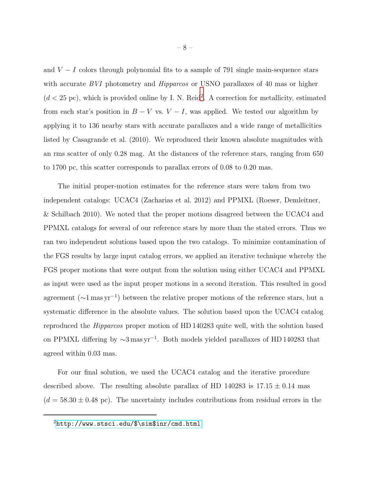and  $V - I$  colors through polynomial fits to a sample of 791 single main-sequence stars with accurate BVI photometry and *Hipparcos* or USNO parallaxes of 40 mas or higher  $(d < 25 \text{ pc})$  $(d < 25 \text{ pc})$  $(d < 25 \text{ pc})$ , which is provided online by I. N. Reid<sup>2</sup>. A correction for metallicity, estimated from each star's position in  $B - V$  vs.  $V - I$ , was applied. We tested our algorithm by applying it to 136 nearby stars with accurate parallaxes and a wide range of metallicities listed by Casagrande et al. (2010). We reproduced their known absolute magnitudes with an rms scatter of only 0.28 mag. At the distances of the reference stars, ranging from 650 to 1700 pc, this scatter corresponds to parallax errors of 0.08 to 0.20 mas.

The initial proper-motion estimates for the reference stars were taken from two independent catalogs: UCAC4 (Zacharias et al. 2012) and PPMXL (Roeser, Demleitner, & Schilbach 2010). We noted that the proper motions disagreed between the UCAC4 and PPMXL catalogs for several of our reference stars by more than the stated errors. Thus we ran two independent solutions based upon the two catalogs. To minimize contamination of the FGS results by large input catalog errors, we applied an iterative technique whereby the FGS proper motions that were output from the solution using either UCAC4 and PPMXL as input were used as the input proper motions in a second iteration. This resulted in good agreement (∼1 mas yr<sup>−</sup><sup>1</sup> ) between the relative proper motions of the reference stars, but a systematic difference in the absolute values. The solution based upon the UCAC4 catalog reproduced the Hipparcos proper motion of HD 140283 quite well, with the solution based on PPMXL differing by  $\sim$ 3 mas yr<sup>-1</sup>. Both models yielded parallaxes of HD 140283 that agreed within 0.03 mas.

For our final solution, we used the UCAC4 catalog and the iterative procedure described above. The resulting absolute parallax of HD 140283 is  $17.15 \pm 0.14$  mas  $(d = 58.30 \pm 0.48 \text{ pc})$ . The uncertainty includes contributions from residual errors in the

 $^{2}$ [http://www.stsci.edu/\\$\sim\\$inr/cmd.html](http://www.stsci.edu/$\sim $inr/cmd.html)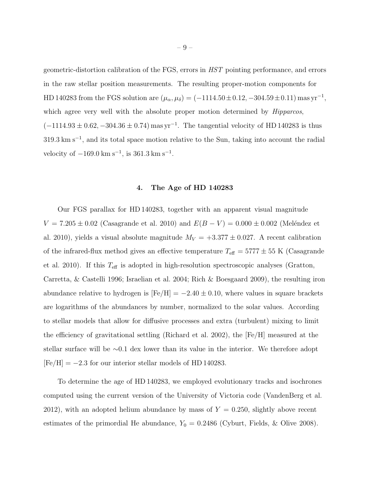geometric-distortion calibration of the FGS, errors in HST pointing performance, and errors in the raw stellar position measurements. The resulting proper-motion components for HD 140283 from the FGS solution are  $(\mu_{\alpha}, \mu_{\delta}) = (-1114.50 \pm 0.12, -304.59 \pm 0.11)$  mas yr<sup>-1</sup>, which agree very well with the absolute proper motion determined by *Hipparcos*,  $(-1114.93 \pm 0.62, -304.36 \pm 0.74)$  mas yr<sup>-1</sup>. The tangential velocity of HD 140283 is thus 319.3 km s<sup>-1</sup>, and its total space motion relative to the Sun, taking into account the radial velocity of  $-169.0 \text{ km s}^{-1}$ , is  $361.3 \text{ km s}^{-1}$ .

#### 4. The Age of HD 140283

Our FGS parallax for HD 140283, together with an apparent visual magnitude  $V = 7.205 \pm 0.02$  (Casagrande et al. 2010) and  $E(B - V) = 0.000 \pm 0.002$  (Meléndez et al. 2010), yields a visual absolute magnitude  $M_V = +3.377 \pm 0.027$ . A recent calibration of the infrared-flux method gives an effective temperature  $T_{\text{eff}} = 5777 \pm 55$  K (Casagrande et al. 2010). If this  $T_{\text{eff}}$  is adopted in high-resolution spectroscopic analyses (Gratton, Carretta, & Castelli 1996; Israelian et al. 2004; Rich & Boesgaard 2009), the resulting iron abundance relative to hydrogen is  $[Fe/H] = -2.40 \pm 0.10$ , where values in square brackets are logarithms of the abundances by number, normalized to the solar values. According to stellar models that allow for diffusive processes and extra (turbulent) mixing to limit the efficiency of gravitational settling (Richard et al. 2002), the [Fe/H] measured at the stellar surface will be ∼0.1 dex lower than its value in the interior. We therefore adopt  $[Fe/H] = -2.3$  for our interior stellar models of HD 140283.

To determine the age of HD 140283, we employed evolutionary tracks and isochrones computed using the current version of the University of Victoria code (VandenBerg et al. 2012), with an adopted helium abundance by mass of  $Y = 0.250$ , slightly above recent estimates of the primordial He abundance,  $Y_0 = 0.2486$  (Cyburt, Fields, & Olive 2008).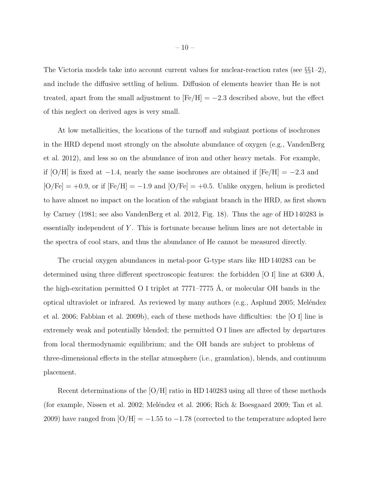The Victoria models take into account current values for nuclear-reaction rates (see §§1–2), and include the diffusive settling of helium. Diffusion of elements heavier than He is not treated, apart from the small adjustment to  $[Fe/H] = -2.3$  described above, but the effect of this neglect on derived ages is very small.

At low metallicities, the locations of the turnoff and subgiant portions of isochrones in the HRD depend most strongly on the absolute abundance of oxygen (e.g., VandenBerg et al. 2012), and less so on the abundance of iron and other heavy metals. For example, if [O/H] is fixed at  $-1.4$ , nearly the same isochrones are obtained if  $[Fe/H] = -2.3$  and  $[O/Fe] = +0.9$ , or if  $[Fe/H] = -1.9$  and  $[O/Fe] = +0.5$ . Unlike oxygen, helium is predicted to have almost no impact on the location of the subgiant branch in the HRD, as first shown by Carney (1981; see also VandenBerg et al. 2012, Fig. 18). Thus the age of HD 140283 is essentially independent of Y. This is fortunate because helium lines are not detectable in the spectra of cool stars, and thus the abundance of He cannot be measured directly.

The crucial oxygen abundances in metal-poor G-type stars like HD 140283 can be determined using three different spectroscopic features: the forbidden  $[O I]$  line at 6300 Å, the high-excitation permitted O I triplet at  $7771-7775$  Å, or molecular OH bands in the optical ultraviolet or infrared. As reviewed by many authors (e.g., Asplund 2005; Meléndez et al. 2006; Fabbian et al. 2009b), each of these methods have difficulties: the [O I] line is extremely weak and potentially blended; the permitted O I lines are affected by departures from local thermodynamic equilibrium; and the OH bands are subject to problems of three-dimensional effects in the stellar atmosphere (i.e., granulation), blends, and continuum placement.

Recent determinations of the  $[O/H]$  ratio in HD 140283 using all three of these methods (for example, Nissen et al. 2002; Meléndez et al. 2006; Rich  $\&$  Boesgaard 2009; Tan et al. 2009) have ranged from  $\text{[O/H]} = -1.55$  to  $-1.78$  (corrected to the temperature adopted here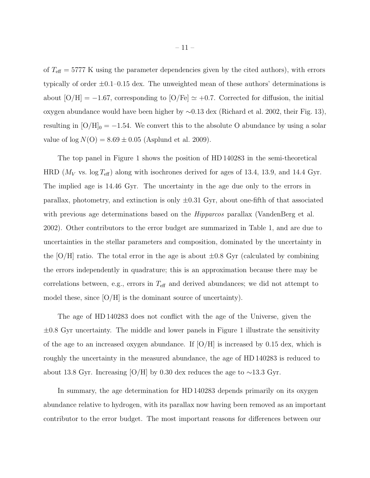of  $T_{\text{eff}} = 5777$  K using the parameter dependencies given by the cited authors), with errors typically of order  $\pm 0.1$ –0.15 dex. The unweighted mean of these authors' determinations is about  $[O/H] = -1.67$ , corresponding to  $[O/Fe] \simeq +0.7$ . Corrected for diffusion, the initial oxygen abundance would have been higher by ∼0.13 dex (Richard et al. 2002, their Fig. 13), resulting in  $[O/H]_0 = -1.54$ . We convert this to the absolute O abundance by using a solar value of  $log N(O) = 8.69 \pm 0.05$  (Asplund et al. 2009).

The top panel in Figure 1 shows the position of HD 140283 in the semi-theoretical HRD ( $M_V$  vs. log  $T_{\text{eff}}$ ) along with isochrones derived for ages of 13.4, 13.9, and 14.4 Gyr. The implied age is 14.46 Gyr. The uncertainty in the age due only to the errors in parallax, photometry, and extinction is only  $\pm 0.31$  Gyr, about one-fifth of that associated with previous age determinations based on the *Hipparcos* parallax (VandenBerg et al. 2002). Other contributors to the error budget are summarized in Table 1, and are due to uncertainties in the stellar parameters and composition, dominated by the uncertainty in the  $[O/H]$  ratio. The total error in the age is about  $\pm 0.8$  Gyr (calculated by combining the errors independently in quadrature; this is an approximation because there may be correlations between, e.g., errors in  $T_{\text{eff}}$  and derived abundances; we did not attempt to model these, since  $[O/H]$  is the dominant source of uncertainty).

The age of HD 140283 does not conflict with the age of the Universe, given the  $\pm 0.8$  Gyr uncertainty. The middle and lower panels in Figure 1 illustrate the sensitivity of the age to an increased oxygen abundance. If  $[O/H]$  is increased by 0.15 dex, which is roughly the uncertainty in the measured abundance, the age of HD 140283 is reduced to about 13.8 Gyr. Increasing [O/H] by 0.30 dex reduces the age to ∼13.3 Gyr.

In summary, the age determination for HD 140283 depends primarily on its oxygen abundance relative to hydrogen, with its parallax now having been removed as an important contributor to the error budget. The most important reasons for differences between our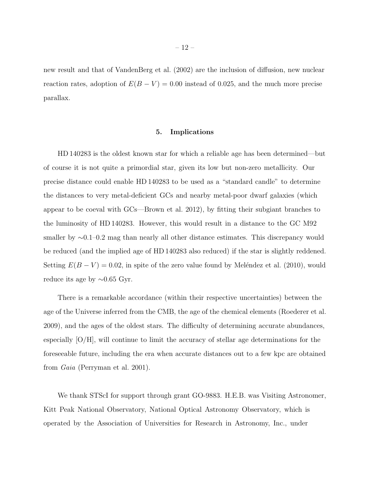new result and that of VandenBerg et al. (2002) are the inclusion of diffusion, new nuclear reaction rates, adoption of  $E(B - V) = 0.00$  instead of 0.025, and the much more precise parallax.

## 5. Implications

HD 140283 is the oldest known star for which a reliable age has been determined—but of course it is not quite a primordial star, given its low but non-zero metallicity. Our precise distance could enable HD 140283 to be used as a "standard candle" to determine the distances to very metal-deficient GCs and nearby metal-poor dwarf galaxies (which appear to be coeval with GCs—Brown et al. 2012), by fitting their subgiant branches to the luminosity of HD 140283. However, this would result in a distance to the GC M92 smaller by ∼0.1–0.2 mag than nearly all other distance estimates. This discrepancy would be reduced (and the implied age of HD 140283 also reduced) if the star is slightly reddened. Setting  $E(B - V) = 0.02$ , in spite of the zero value found by Meléndez et al. (2010), would reduce its age by ∼0.65 Gyr.

There is a remarkable accordance (within their respective uncertainties) between the age of the Universe inferred from the CMB, the age of the chemical elements (Roederer et al. 2009), and the ages of the oldest stars. The difficulty of determining accurate abundances, especially  $[O/H]$ , will continue to limit the accuracy of stellar age determinations for the foreseeable future, including the era when accurate distances out to a few kpc are obtained from Gaia (Perryman et al. 2001).

We thank STScI for support through grant GO-9883. H.E.B. was Visiting Astronomer, Kitt Peak National Observatory, National Optical Astronomy Observatory, which is operated by the Association of Universities for Research in Astronomy, Inc., under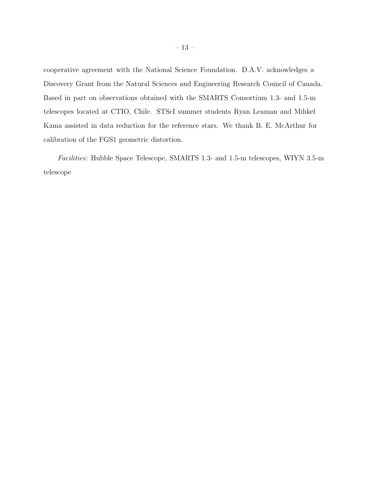cooperative agreement with the National Science Foundation. D.A.V. acknowledges a Discovery Grant from the Natural Sciences and Engineering Research Council of Canada. Based in part on observations obtained with the SMARTS Consortium 1.3- and 1.5-m telescopes located at CTIO, Chile. STScI summer students Ryan Leaman and Mihkel Kama assisted in data reduction for the reference stars. We thank B. E. McArthur for calibration of the FGS1 geometric distortion.

Facilities: Hubble Space Telescope, SMARTS 1.3- and 1.5-m telescopes, WIYN 3.5-m telescope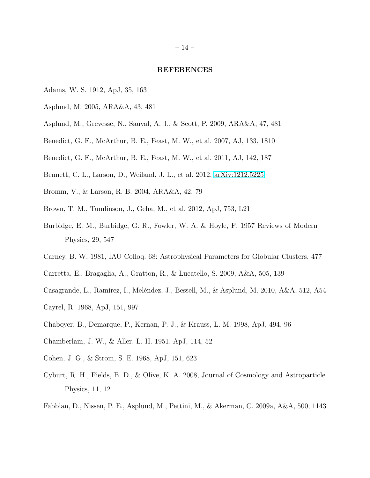#### REFERENCES

- Adams, W. S. 1912, ApJ, 35, 163
- Asplund, M. 2005, ARA&A, 43, 481
- Asplund, M., Grevesse, N., Sauval, A. J., & Scott, P. 2009, ARA&A, 47, 481
- Benedict, G. F., McArthur, B. E., Feast, M. W., et al. 2007, AJ, 133, 1810
- Benedict, G. F., McArthur, B. E., Feast, M. W., et al. 2011, AJ, 142, 187
- Bennett, C. L., Larson, D., Weiland, J. L., et al. 2012, [arXiv:1212.5225](http://arxiv.org/abs/1212.5225)
- Bromm, V., & Larson, R. B. 2004, ARA&A, 42, 79
- Brown, T. M., Tumlinson, J., Geha, M., et al. 2012, ApJ, 753, L21
- Burbidge, E. M., Burbidge, G. R., Fowler, W. A. & Hoyle, F. 1957 Reviews of Modern Physics, 29, 547
- Carney, B. W. 1981, IAU Colloq. 68: Astrophysical Parameters for Globular Clusters, 477
- Carretta, E., Bragaglia, A., Gratton, R., & Lucatello, S. 2009, A&A, 505, 139
- Casagrande, L., Ramírez, I., Meléndez, J., Bessell, M., & Asplund, M. 2010, A&A, 512, A54
- Cayrel, R. 1968, ApJ, 151, 997
- Chaboyer, B., Demarque, P., Kernan, P. J., & Krauss, L. M. 1998, ApJ, 494, 96
- Chamberlain, J. W., & Aller, L. H. 1951, ApJ, 114, 52
- Cohen, J. G., & Strom, S. E. 1968, ApJ, 151, 623
- Cyburt, R. H., Fields, B. D., & Olive, K. A. 2008, Journal of Cosmology and Astroparticle Physics, 11, 12
- Fabbian, D., Nissen, P. E., Asplund, M., Pettini, M., & Akerman, C. 2009a, A&A, 500, 1143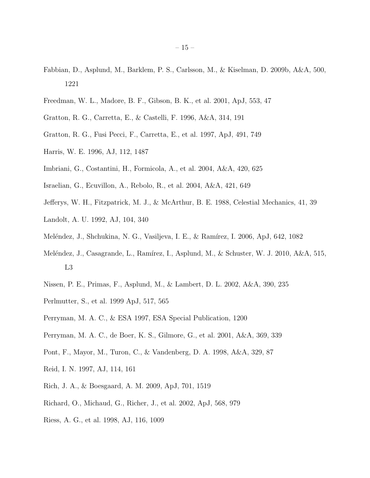- Fabbian, D., Asplund, M., Barklem, P. S., Carlsson, M., & Kiselman, D. 2009b, A&A, 500, 1221
- Freedman, W. L., Madore, B. F., Gibson, B. K., et al. 2001, ApJ, 553, 47
- Gratton, R. G., Carretta, E., & Castelli, F. 1996, A&A, 314, 191
- Gratton, R. G., Fusi Pecci, F., Carretta, E., et al. 1997, ApJ, 491, 749
- Harris, W. E. 1996, AJ, 112, 1487
- Imbriani, G., Costantini, H., Formicola, A., et al. 2004, A&A, 420, 625
- Israelian, G., Ecuvillon, A., Rebolo, R., et al. 2004, A&A, 421, 649
- Jefferys, W. H., Fitzpatrick, M. J., & McArthur, B. E. 1988, Celestial Mechanics, 41, 39
- Landolt, A. U. 1992, AJ, 104, 340
- Meléndez, J., Shchukina, N. G., Vasiljeva, I. E., & Ramírez, I. 2006, ApJ, 642, 1082
- Meléndez, J., Casagrande, L., Ramírez, I., Asplund, M., & Schuster, W. J. 2010, A&A, 515, L3
- Nissen, P. E., Primas, F., Asplund, M., & Lambert, D. L. 2002, A&A, 390, 235
- Perlmutter, S., et al. 1999 ApJ, 517, 565
- Perryman, M. A. C., & ESA 1997, ESA Special Publication, 1200
- Perryman, M. A. C., de Boer, K. S., Gilmore, G., et al. 2001, A&A, 369, 339
- Pont, F., Mayor, M., Turon, C., & Vandenberg, D. A. 1998, A&A, 329, 87
- Reid, I. N. 1997, AJ, 114, 161
- Rich, J. A., & Boesgaard, A. M. 2009, ApJ, 701, 1519
- Richard, O., Michaud, G., Richer, J., et al. 2002, ApJ, 568, 979
- Riess, A. G., et al. 1998, AJ, 116, 1009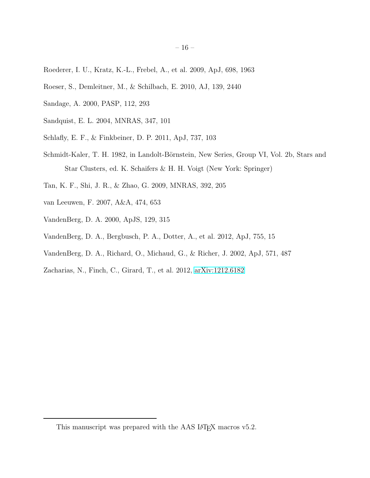- Roederer, I. U., Kratz, K.-L., Frebel, A., et al. 2009, ApJ, 698, 1963
- Roeser, S., Demleitner, M., & Schilbach, E. 2010, AJ, 139, 2440
- Sandage, A. 2000, PASP, 112, 293
- Sandquist, E. L. 2004, MNRAS, 347, 101
- Schlafly, E. F., & Finkbeiner, D. P. 2011, ApJ, 737, 103
- Schmidt-Kaler, T. H. 1982, in Landolt-Börnstein, New Series, Group VI, Vol. 2b, Stars and Star Clusters, ed. K. Schaifers & H. H. Voigt (New York: Springer)
- Tan, K. F., Shi, J. R., & Zhao, G. 2009, MNRAS, 392, 205
- van Leeuwen, F. 2007, A&A, 474, 653
- VandenBerg, D. A. 2000, ApJS, 129, 315
- VandenBerg, D. A., Bergbusch, P. A., Dotter, A., et al. 2012, ApJ, 755, 15
- VandenBerg, D. A., Richard, O., Michaud, G., & Richer, J. 2002, ApJ, 571, 487
- Zacharias, N., Finch, C., Girard, T., et al. 2012, [arXiv:1212.6182](http://arxiv.org/abs/1212.6182)

<span id="page-15-0"></span>This manuscript was prepared with the AAS IAT<sub>E</sub>X macros v5.2.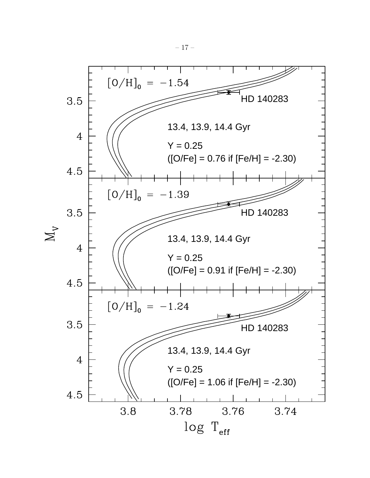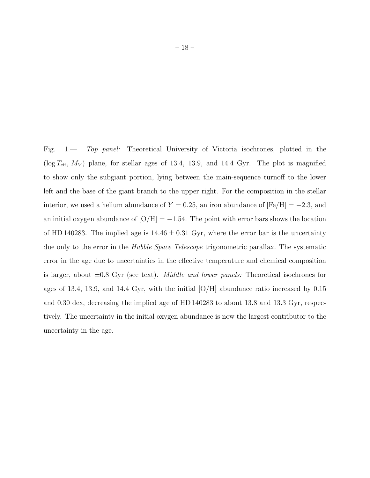Fig. 1.— Top panel: Theoretical University of Victoria isochrones, plotted in the ( $\log T_{\text{eff}}$ ,  $M_V$ ) plane, for stellar ages of 13.4, 13.9, and 14.4 Gyr. The plot is magnified to show only the subgiant portion, lying between the main-sequence turnoff to the lower left and the base of the giant branch to the upper right. For the composition in the stellar interior, we used a helium abundance of  $Y = 0.25$ , an iron abundance of  $[Fe/H] = -2.3$ , and an initial oxygen abundance of  $[O/H] = -1.54$ . The point with error bars shows the location of HD 140283. The implied age is  $14.46 \pm 0.31$  Gyr, where the error bar is the uncertainty due only to the error in the *Hubble Space Telescope* trigonometric parallax. The systematic error in the age due to uncertainties in the effective temperature and chemical composition is larger, about  $\pm 0.8$  Gyr (see text). *Middle and lower panels:* Theoretical isochrones for ages of 13.4, 13.9, and 14.4 Gyr, with the initial  $[O/H]$  abundance ratio increased by 0.15 and 0.30 dex, decreasing the implied age of HD 140283 to about 13.8 and 13.3 Gyr, respectively. The uncertainty in the initial oxygen abundance is now the largest contributor to the uncertainty in the age.